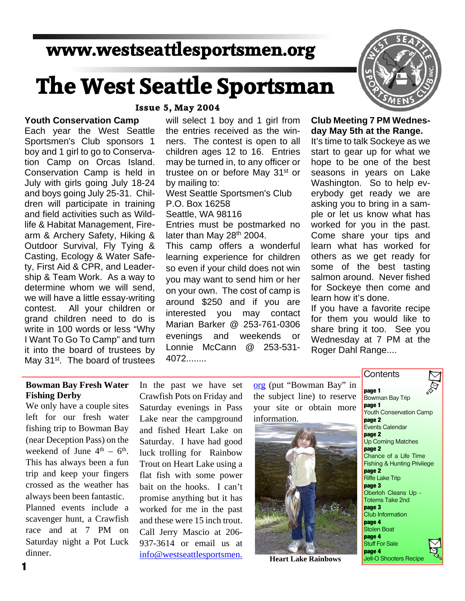# **www.westseattlesportsmen.org**

# **The West Seattle Sportsman**

### **Youth Conservation Camp**

Each year the West Seattle Sportsmen's Club sponsors 1 boy and 1 girl to go to Conserva tion Camp on Orcas Island. Conservation Camp is held in July with girls going July 18-24 and boys going July 25-31. Chil dren will participate in training and field activities such as Wild life & Habitat Management, Fire arm & Archery Safety, Hiking & Outdoor Survival, Fly Tying & Casting, Ecology & Water Safe ty, First Aid & CPR, and Leader ship & Team Work. As a way to determine whom we will send, we will have a little essay-writing contest. All your children or grand children need to do is write in 100 words or less "Why I Want To Go To Camp" and turn it into the board of trustees by May 31<sup>st</sup>. The board of trustees

#### **Issue 5, May 2004**

will select 1 boy and 1 girl from the entries received as the win ners. The contest is open to all children ages 12 to 16. Entries may be turned in, to any officer or trustee on or before May 31<sup>st</sup> or by mailing to: West Seattle Sportsmen's Club P.O. Box 16258 Seattle, WA 98116 Entries must be postmarked no later than May 28<sup>th</sup> 2004. This camp offers a wonderful learning experience for children so even if your child does not win you may want to send him or her on your own. The cost of camp is around \$250 and if you are interested you may contact Marian Barker @ 253-761-0306 evenings and weekends or Lonnie McCann @ 253-531- 4072........



# **Club Meeting 7 PM Wednes day May 5th at the Range.**

It's time to talk Sockeye as we start to gear up for what we hope to be one of the best seasons in years on Lake Washington. So to help ev erybody get ready we are asking you to bring in a sam ple or let us know what has worked for you in the past. Come share your tips and learn what has worked for others as we get ready for some of the best tasting salmon around. Never fished for Sockeye then come and learn how it's done.

If you have a favorite recipe for them you would like to share bring it too. See you Wednesday at 7 PM at the Roger Dahl Range....

**Contents** 

### **Bowman Bay Fresh Water Fishing Derby**

We only have a couple sites left for our fresh water fishing trip to Bowman Bay (near Deception Pass) on the weekend of June  $4<sup>th</sup> - 6<sup>th</sup>$ . This has always been a fun trip and keep your fingers crossed as the weather has always been been fantastic. Planned events include a scavenger hunt, a Crawfish race and at 7 PM on Saturday night a Pot Luck dinner.

In the past we have set Crawfish Pots on Friday and Saturday evenings in Pass Lake near the campground and fished Heart Lake on Saturday. I have had good luck trolling for Rainbow Trout on Heart Lake using a flat fish with some power bait on the hooks. I can't promise anything but it has worked for me in the past and these were 15 inch trout. Call Jerry Mascio at 206- 937-3614 or email us at info@westseattlesportsmen.

org (put "Bowman Bay" in the subject line) to reserve your site or obtain more information.



**Heart Lake Rainbows**

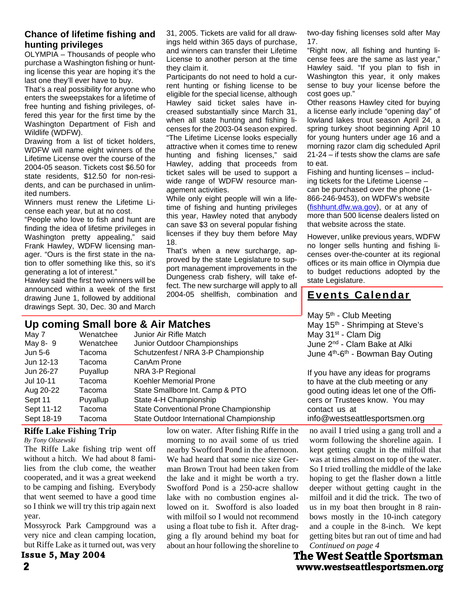# **Chance of lifetime fishing and hunting privileges**

OLYMPIA – Thousands of people who purchase a Washington fishing or hunt ing license this year are hoping it's the last one they'll ever have to buy.

That's a real possibility for anyone who enters the sweepstakes for a lifetime of free hunting and fishing privileges, of fered this year for the first time by the Washington Department of Fish and Wildlife (WDFW).

Drawing from a list of ticket holders, WDFW will name eight winners of the Lifetime License over the course of the 2004-05 season. Tickets cost \$6.50 for state residents, \$12.50 for non-resi dents, and can be purchased in unlim ited numbers.

Winners must renew the Lifetime Li cense each year, but at no cost.

"People who love to fish and hunt are finding the idea of lifetime privileges in Washington pretty appealing," said Frank Hawley, WDFW licensing man ager. "Ours is the first state in the na tion to offer something like this, so it's generating a lot of interest."

Hawley said the first two winners will be announced within a week of the first drawing June 1, followed by additional drawings Sept. 30, Dec. 30 and March

## License to another person at the time they claim it. Participants do not need to hold a cur rent hunting or fishing license to be

eligible for the special license, although Hawley said ticket sales have in creased substantially since March 31, when all state hunting and fishing li censes for the 2003-04 season expired. "The Lifetime License looks especially attractive when it comes time to renew hunting and fishing licenses," said Hawley, adding that proceeds from ticket sales will be used to support a wide range of WDFW resource man agement activities.

31, 2005. Tickets are valid for all draw ings held within 365 days of purchase, and winners can transfer their Lifetime

While only eight people will win a life time of fishing and hunting privileges this year, Hawley noted that anybody can save \$3 on several popular fishing licenses if they buy them before May 18.

That's when a new surcharge, ap proved by the state Legislature to sup port management improvements in the Dungeness crab fishery, will take ef fect. The new surcharge will apply to all 2004-05 shellfish, combination and two-day fishing licenses sold after May 17.

"Right now, all fishing and hunting li cense fees are the same as last year," Hawley said. "If you plan to fish in Washington this year, it only makes sense to buy your license before the cost goes up."

Other reasons Hawley cited for buying a license early include "opening day" of lowland lakes trout season April 24, a spring turkey shoot beginning April 10 for young hunters under age 16 and a morning razor clam dig scheduled April 21-24 – if tests show the clams are safe to eat.

Fishing and hunting licenses – includ ing tickets for the Lifetime License – can be purchased over the phone (1- 866-246-9453), on WDFW's website (fishhunt.dfw.wa.gov), or at any of more than 500 license dealers listed on that website across the state.

However, unlike previous years, WDFW no longer sells hunting and fishing li censes over-the-counter at its regional offices or its main office in Olympia due to budget reductions adopted by the state Legislature.

# **Events Calendar**

**Up coming Small bore & Air Matches** May 7 Wenatchee Junior Air Rifle Match<br>May 8-9 Wenatchee Junior Outdoor Chamr Junior Outdoor Championships Jun 5-6 Tacoma Schutzenfest / NRA 3-P Championship Jun 12-13 Tacoma CanAm Prone Jun 26-27 Puyallup NRA 3-P Regional Jul 10-11 Tacoma Koehler Memorial Prone Aug 20-22 Tacoma State Smallbore Int. Camp & PTO Sept 11 Puyallup State 4-H Championship Sept 11-12 Tacoma State Conventional Prone Championship May 5<sup>th</sup> - Club Meeting May 15<sup>th</sup> - Shrimping at Steve's May  $31<sup>st</sup>$  - Clam Dig June 2nd - Clam Bake at Alki If you have any ideas for programs to have at the club meeting or any cers or Trustees know. You may contact us at

# Sept 18-19 Tacoma State Outdoor International Championship

**Riffe Lake Fishing Trip**

*By Tony Olszewski*

The Riffe Lake fishing trip went off without a hitch. We had about 8 fami lies from the club come, the weather cooperated, and it was a great weekend to be camping and fishing. Everybody that went seemed to have a good time so I think we will try this trip again next year.

Mossyrock Park Campground was a very nice and clean camping location, but Riffe Lake as it turned out, was very

**Issue 5, May 2004**

low on water. After fishing Riffe in the morning to no avail some of us tried nearby Swofford Pond in the afternoon. We had heard that some nice size Ger man Brown Trout had been taken from the lake and it might be worth a try. Swofford Pond is a 250-acre shallow lake with no combustion engines al lowed on it. Swofford is also loaded with milfoil so I would not recommend using a float tube to fish it. After drag ging a fly around behind my boat for about an hour following the shoreline to

June 4th-6th - Bowman Bay Outing

good outing ideas let one of the Offi info@westseattlesportsmen.org

no avail I tried using a gang troll and a worm following the shoreline again. I kept getting caught in the milfoil that was at times almost on top of the water. So I tried trolling the middle of the lake hoping to get the flasher down a little deeper without getting caught in the milfoil and it did the trick. The two of us in my boat then brought in 8 rain bows mostly in the 10-inch category and a couple in the 8-inch. We kept getting bites but ran out of time and had *Continued on page 4*

**2 www.westseattlesportsmen.org The West Seattle Sportsman**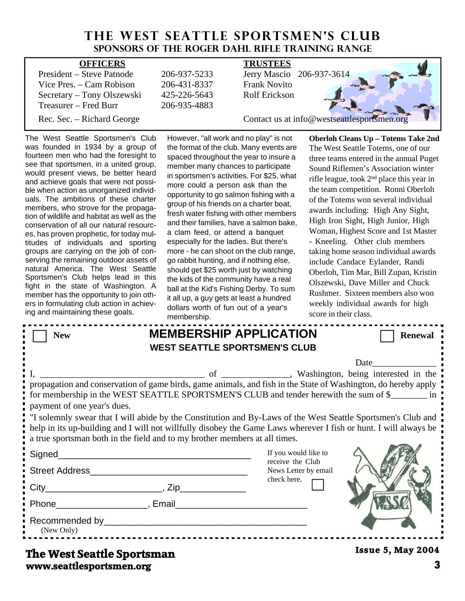# **THE WEST SEATTLE SPORTSMEN'S CLUB Sponsors of the Roger Dahl Rifle Training Range**

| <b>OFFICERS</b>            |              | <b>TRUSTEES</b>                             |
|----------------------------|--------------|---------------------------------------------|
| President – Steve Patnode  | 206-937-5233 | Jerry Mascio 206-937-3614                   |
| Vice Pres. $-$ Cam Robison | 206-431-8337 | <b>Frank Novito</b>                         |
| Secretary – Tony Olszewski | 425-226-5643 | <b>Rolf Erickson</b>                        |
| Treasurer – Fred Burr      | 206-935-4883 |                                             |
| Rec. Sec. – Richard George |              | Contact us at info@westseattlesportsmen.org |

The West Seattle Sportsmen's Club was founded in 1934 by a group of fourteen men who had the foresight to see that sportsmen, in a united group, would present views, be better heard and achieve goals that were not possi ble when action as unorganized individ uals. The ambitions of these charter members, who strove for the propaga tion of wildlife and habitat as well as the conservation of all our natural resourc es, has proven prophetic, for today mul titudes of individuals and sporting groups are carrying on the job of con serving the remaining outdoor assets of natural America. The West Seattle Sportsmen's Club helps lead in this fight in the state of Washington. A member has the opportunity to join oth ers in formulating club action in achiev ing and maintaining these goals.

However, "all work and no play" is not the format of the club. Many events are spaced throughout the year to insure a member many chances to participate in sportsmen's activities. For \$25, what more could a person ask than the opportunity to go salmon fishing with a group of his friends on a charter boat, fresh water fishing with other members and their families, have a salmon bake, a clam feed, or attend a banquet especially for the ladies. But there's more - he can shoot on the club range, go rabbit hunting, and if nothing else, should get \$25 worth just by watching the kids of the community have a real ball at the Kid's Fishing Derby. To sum it all up, a guy gets at least a hundred dollars worth of fun out of a year's membership.

**Oberloh Cleans Up – Totems Take 2nd** The West Seattle Totems, one of our three teams entered in the annual Puget Sound Riflemen's Association winter rifle league, took 2nd place this year in the team competition. Ronni Oberloh of the Totems won several individual awards including: High Any Sight, High Iron Sight, High Junior, High Woman, Highest Score and 1st Master - Kneeling. Other club members taking home season individual awards include Candace Eylander, Randi Oberloh, Tim Mar, Bill Zupan, Kristin Olszewski, Dave Miller and Chuck Rushmer. Sixteen members also won weekly individual awards for high score in their class.

|                                                                                                                                                                                                                                                                                                                                                                                                                                                                                                                                                                  | <b>ILIGHTUGI SHIP.</b> |                                                                                 |                          |  |  |
|------------------------------------------------------------------------------------------------------------------------------------------------------------------------------------------------------------------------------------------------------------------------------------------------------------------------------------------------------------------------------------------------------------------------------------------------------------------------------------------------------------------------------------------------------------------|------------------------|---------------------------------------------------------------------------------|--------------------------|--|--|
| <b>New</b>                                                                                                                                                                                                                                                                                                                                                                                                                                                                                                                                                       |                        | <b>MEMBERSHIP APPLICATION</b><br><b>WEST SEATTLE SPORTSMEN'S CLUB</b>           | <b>Renewal</b>           |  |  |
| Date<br>propagation and conservation of game birds, game animals, and fish in the State of Washington, do hereby apply<br>for membership in the WEST SEATTLE SPORTSMEN'S CLUB and tender herewith the sum of \$<br>payment of one year's dues.<br>"I solemnly swear that I will abide by the Constitution and By-Laws of the West Seattle Sportsmen's Club and<br>help in its up-building and I will not willfully disobey the Game Laws wherever I fish or hunt. I will always be<br>a true sportsman both in the field and to my brother members at all times. |                        |                                                                                 |                          |  |  |
|                                                                                                                                                                                                                                                                                                                                                                                                                                                                                                                                                                  |                        | If you would like to<br>receive the Club<br>News Letter by email<br>check here. |                          |  |  |
|                                                                                                                                                                                                                                                                                                                                                                                                                                                                                                                                                                  |                        |                                                                                 |                          |  |  |
| (New Only)                                                                                                                                                                                                                                                                                                                                                                                                                                                                                                                                                       |                        |                                                                                 |                          |  |  |
| The West Septtle Spertampn                                                                                                                                                                                                                                                                                                                                                                                                                                                                                                                                       |                        |                                                                                 | <b>Issue 5, May 2004</b> |  |  |